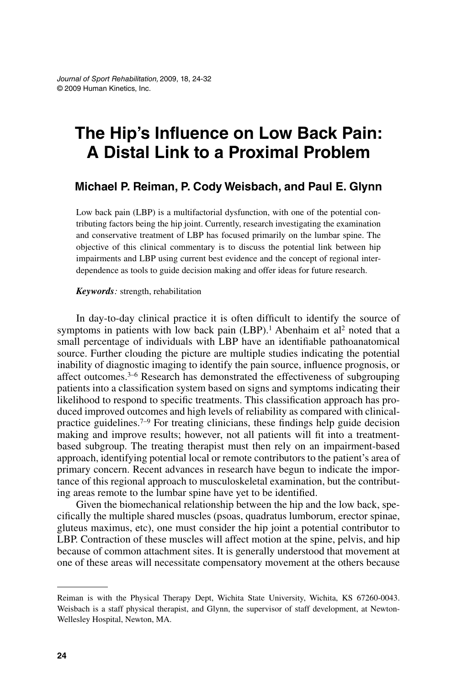# **The Hip's Influence on Low Back Pain: A Distal Link to a Proximal Problem**

#### **Michael P. Reiman, P. Cody Weisbach, and Paul E. Glynn**

Low back pain (LBP) is a multifactorial dysfunction, with one of the potential contributing factors being the hip joint. Currently, research investigating the examination and conservative treatment of LBP has focused primarily on the lumbar spine. The objective of this clinical commentary is to discuss the potential link between hip impairments and LBP using current best evidence and the concept of regional interdependence as tools to guide decision making and offer ideas for future research.

#### *Keywords:* strength, rehabilitation

In day-to-day clinical practice it is often difficult to identify the source of symptoms in patients with low back pain  $(LBP)$ .<sup>1</sup> Abenhaim et al<sup>2</sup> noted that a small percentage of individuals with LBP have an identifiable pathoanatomical source. Further clouding the picture are multiple studies indicating the potential inability of diagnostic imaging to identify the pain source, influence prognosis, or affect outcomes.3–6 Research has demonstrated the effectiveness of subgrouping patients into a classification system based on signs and symptoms indicating their likelihood to respond to specific treatments. This classification approach has produced improved outcomes and high levels of reliability as compared with clinicalpractice guidelines.7–9 For treating clinicians, these findings help guide decision making and improve results; however, not all patients will fit into a treatmentbased subgroup. The treating therapist must then rely on an impairment-based approach, identifying potential local or remote contributors to the patient's area of primary concern. Recent advances in research have begun to indicate the importance of this regional approach to musculoskeletal examination, but the contributing areas remote to the lumbar spine have yet to be identified.

Given the biomechanical relationship between the hip and the low back, specifically the multiple shared muscles (psoas, quadratus lumborum, erector spinae, gluteus maximus, etc), one must consider the hip joint a potential contributor to LBP. Contraction of these muscles will affect motion at the spine, pelvis, and hip because of common attachment sites. It is generally understood that movement at one of these areas will necessitate compensatory movement at the others because

Reiman is with the Physical Therapy Dept, Wichita State University, Wichita, KS 67260-0043. Weisbach is a staff physical therapist, and Glynn, the supervisor of staff development, at Newton-Wellesley Hospital, Newton, MA.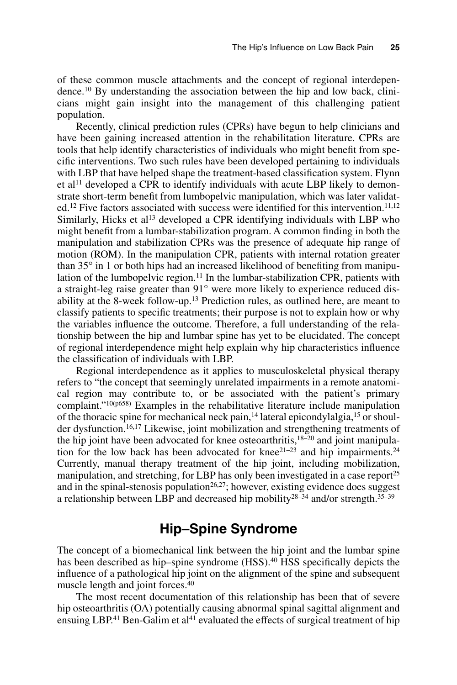of these common muscle attachments and the concept of regional interdependence.10 By understanding the association between the hip and low back, clinicians might gain insight into the management of this challenging patient population.

Recently, clinical prediction rules (CPRs) have begun to help clinicians and have been gaining increased attention in the rehabilitation literature. CPRs are tools that help identify characteristics of individuals who might benefit from specific interventions. Two such rules have been developed pertaining to individuals with LBP that have helped shape the treatment-based classification system. Flynn et al11 developed a CPR to identify individuals with acute LBP likely to demonstrate short-term benefit from lumbopelvic manipulation, which was later validat $ed<sup>12</sup>$  Five factors associated with success were identified for this intervention.<sup>11,12</sup> Similarly, Hicks et al13 developed a CPR identifying individuals with LBP who might benefit from a lumbar-stabilization program. A common finding in both the manipulation and stabilization CPRs was the presence of adequate hip range of motion (ROM). In the manipulation CPR, patients with internal rotation greater than 35° in 1 or both hips had an increased likelihood of benefiting from manipulation of the lumbopelvic region.<sup>11</sup> In the lumbar-stabilization CPR, patients with a straight-leg raise greater than 91° were more likely to experience reduced disability at the 8-week follow-up.13 Prediction rules, as outlined here, are meant to classify patients to specific treatments; their purpose is not to explain how or why the variables influence the outcome. Therefore, a full understanding of the relationship between the hip and lumbar spine has yet to be elucidated. The concept of regional interdependence might help explain why hip characteristics influence the classification of individuals with LBP.

Regional interdependence as it applies to musculoskeletal physical therapy refers to "the concept that seemingly unrelated impairments in a remote anatomical region may contribute to, or be associated with the patient's primary complaint."10(p658) Examples in the rehabilitative literature include manipulation of the thoracic spine for mechanical neck pain,14 lateral epicondylalgia,15 or shoulder dysfunction.<sup>16,17</sup> Likewise, joint mobilization and strengthening treatments of the hip joint have been advocated for knee osteoarthritis,<sup>18–20</sup> and joint manipulation for the low back has been advocated for knee $2^{1-23}$  and hip impairments.<sup>24</sup> Currently, manual therapy treatment of the hip joint, including mobilization, manipulation, and stretching, for LBP has only been investigated in a case report<sup>25</sup> and in the spinal-stenosis population<sup>26,27</sup>; however, existing evidence does suggest a relationship between LBP and decreased hip mobility28–34 and/or strength.35–39

#### **Hip–Spine Syndrome**

The concept of a biomechanical link between the hip joint and the lumbar spine has been described as hip–spine syndrome (HSS).<sup>40</sup> HSS specifically depicts the influence of a pathological hip joint on the alignment of the spine and subsequent muscle length and joint forces.40

The most recent documentation of this relationship has been that of severe hip osteoarthritis (OA) potentially causing abnormal spinal sagittal alignment and ensuing LBP.<sup>41</sup> Ben-Galim et al<sup>41</sup> evaluated the effects of surgical treatment of hip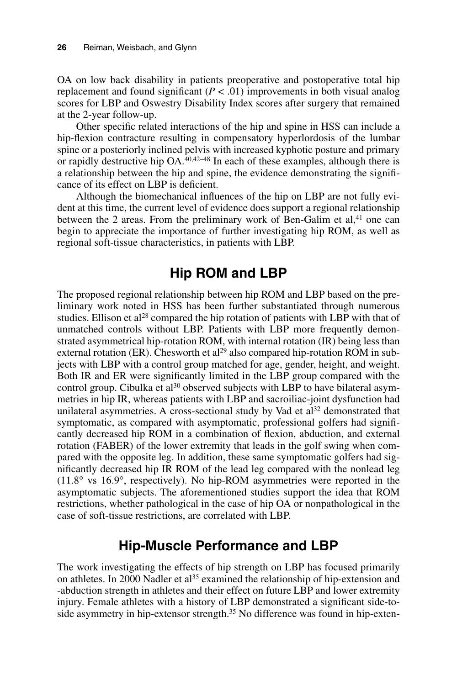OA on low back disability in patients preoperative and postoperative total hip replacement and found significant  $(P < .01)$  improvements in both visual analog scores for LBP and Oswestry Disability Index scores after surgery that remained at the 2-year follow-up.

Other specific related interactions of the hip and spine in HSS can include a hip-flexion contracture resulting in compensatory hyperlordosis of the lumbar spine or a posteriorly inclined pelvis with increased kyphotic posture and primary or rapidly destructive hip OA.40,42–48 In each of these examples, although there is a relationship between the hip and spine, the evidence demonstrating the significance of its effect on LBP is deficient.

Although the biomechanical influences of the hip on LBP are not fully evident at this time, the current level of evidence does support a regional relationship between the 2 areas. From the preliminary work of Ben-Galim et al, $4<sup>1</sup>$  one can begin to appreciate the importance of further investigating hip ROM, as well as regional soft-tissue characteristics, in patients with LBP.

#### **Hip ROM and LBP**

The proposed regional relationship between hip ROM and LBP based on the preliminary work noted in HSS has been further substantiated through numerous studies. Ellison et al<sup>28</sup> compared the hip rotation of patients with LBP with that of unmatched controls without LBP. Patients with LBP more frequently demonstrated asymmetrical hip-rotation ROM, with internal rotation (IR) being less than external rotation (ER). Chesworth et  $al^{29}$  also compared hip-rotation ROM in subjects with LBP with a control group matched for age, gender, height, and weight. Both IR and ER were significantly limited in the LBP group compared with the control group. Cibulka et al<sup>30</sup> observed subjects with LBP to have bilateral asymmetries in hip IR, whereas patients with LBP and sacroiliac-joint dysfunction had unilateral asymmetries. A cross-sectional study by Vad et al<sup>32</sup> demonstrated that symptomatic, as compared with asymptomatic, professional golfers had significantly decreased hip ROM in a combination of flexion, abduction, and external rotation (FABER) of the lower extremity that leads in the golf swing when compared with the opposite leg. In addition, these same symptomatic golfers had significantly decreased hip IR ROM of the lead leg compared with the nonlead leg (11.8° vs 16.9°, respectively). No hip-ROM asymmetries were reported in the asymptomatic subjects. The aforementioned studies support the idea that ROM restrictions, whether pathological in the case of hip OA or nonpathological in the case of soft-tissue restrictions, are correlated with LBP.

### **Hip-Muscle Performance and LBP**

The work investigating the effects of hip strength on LBP has focused primarily on athletes. In 2000 Nadler et al<sup>35</sup> examined the relationship of hip-extension and -abduction strength in athletes and their effect on future LBP and lower extremity injury. Female athletes with a history of LBP demonstrated a significant side-toside asymmetry in hip-extensor strength.<sup>35</sup> No difference was found in hip-exten-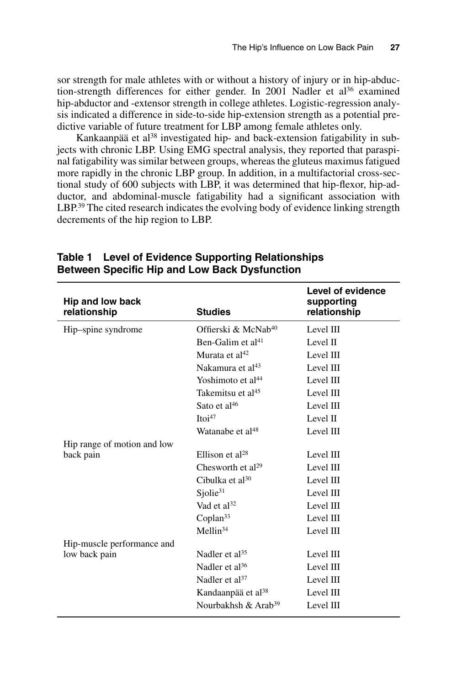sor strength for male athletes with or without a history of injury or in hip-abduction-strength differences for either gender. In 2001 Nadler et al<sup>36</sup> examined hip-abductor and -extensor strength in college athletes. Logistic-regression analysis indicated a difference in side-to-side hip-extension strength as a potential predictive variable of future treatment for LBP among female athletes only.

Kankaanpää et al<sup>38</sup> investigated hip- and back-extension fatigability in subjects with chronic LBP. Using EMG spectral analysis, they reported that paraspinal fatigability was similar between groups, whereas the gluteus maximus fatigued more rapidly in the chronic LBP group. In addition, in a multifactorial cross-sectional study of 600 subjects with LBP, it was determined that hip-flexor, hip-adductor, and abdominal-muscle fatigability had a significant association with LBP.<sup>39</sup> The cited research indicates the evolving body of evidence linking strength decrements of the hip region to LBP.

|                                  |                                 | Level of evidence          |
|----------------------------------|---------------------------------|----------------------------|
| Hip and low back<br>relationship | <b>Studies</b>                  | supporting<br>relationship |
| Hip-spine syndrome               | Offierski & McNab <sup>40</sup> | Level III                  |
|                                  | Ben-Galim et al <sup>41</sup>   | Level II                   |
|                                  | Murata et al $42$               | Level III                  |
|                                  | Nakamura et al <sup>43</sup>    | Level III                  |
|                                  | Yoshimoto et al <sup>44</sup>   | Level III                  |
|                                  | Takemitsu et al <sup>45</sup>   | Level III                  |
|                                  | Sato et al <sup>46</sup>        | Level III                  |
|                                  | Itoi <sup>47</sup>              | Level II                   |
|                                  | Watanabe et al <sup>48</sup>    | Level III                  |
| Hip range of motion and low      |                                 |                            |
| back pain                        | Ellison et $al^{28}$            | Level III                  |
|                                  | Chesworth et al <sup>29</sup>   | Level III                  |
|                                  | Cibulka et $al^{30}$            | Level III                  |
|                                  | Sjolie <sup>31</sup>            | Level III                  |
|                                  | Vad et al <sup>32</sup>         | Level III                  |
|                                  | Coplan $33$                     | Level III                  |
|                                  | Mellin <sup>34</sup>            | Level III                  |
| Hip-muscle performance and       |                                 |                            |
| low back pain                    | Nadler et al <sup>35</sup>      | Level III                  |
|                                  | Nadler et al <sup>36</sup>      | Level III                  |
|                                  | Nadler et $al^{37}$             | Level III                  |
|                                  | Kandaanpää et al <sup>38</sup>  | Level III                  |
|                                  | Nourbakhsh & Arab <sup>39</sup> | Level III                  |

**Table 1 Level of Evidence Supporting Relationships Between Specific Hip and Low Back Dysfunction**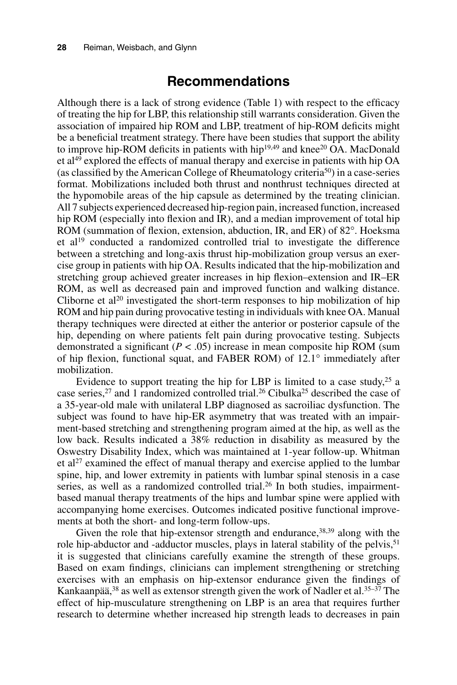#### **Recommendations**

Although there is a lack of strong evidence (Table 1) with respect to the efficacy of treating the hip for LBP, this relationship still warrants consideration. Given the association of impaired hip ROM and LBP, treatment of hip-ROM deficits might be a beneficial treatment strategy. There have been studies that support the ability to improve hip-ROM deficits in patients with hip $19,49$  and knee $20$  OA. MacDonald et al<sup>49</sup> explored the effects of manual therapy and exercise in patients with hip OA (as classified by the American College of Rheumatology criteria<sup>50</sup>) in a case-series format. Mobilizations included both thrust and nonthrust techniques directed at the hypomobile areas of the hip capsule as determined by the treating clinician. All 7 subjects experienced decreased hip-region pain, increased function, increased hip ROM (especially into flexion and IR), and a median improvement of total hip ROM (summation of flexion, extension, abduction, IR, and ER) of 82°. Hoeksma et al19 conducted a randomized controlled trial to investigate the difference between a stretching and long-axis thrust hip-mobilization group versus an exercise group in patients with hip OA. Results indicated that the hip-mobilization and stretching group achieved greater increases in hip flexion–extension and IR–ER ROM, as well as decreased pain and improved function and walking distance. Cliborne et  $al^{20}$  investigated the short-term responses to hip mobilization of hip ROM and hip pain during provocative testing in individuals with knee OA. Manual therapy techniques were directed at either the anterior or posterior capsule of the hip, depending on where patients felt pain during provocative testing. Subjects demonstrated a significant  $(P < .05)$  increase in mean composite hip ROM (sum of hip flexion, functional squat, and FABER ROM) of 12.1° immediately after mobilization.

Evidence to support treating the hip for LBP is limited to a case study,  $25$  a case series,<sup>27</sup> and 1 randomized controlled trial.<sup>26</sup> Cibulka<sup>25</sup> described the case of a 35-year-old male with unilateral LBP diagnosed as sacroiliac dysfunction. The subject was found to have hip-ER asymmetry that was treated with an impairment-based stretching and strengthening program aimed at the hip, as well as the low back. Results indicated a 38% reduction in disability as measured by the Oswestry Disability Index, which was maintained at 1-year follow-up. Whitman et al<sup>27</sup> examined the effect of manual therapy and exercise applied to the lumbar spine, hip, and lower extremity in patients with lumbar spinal stenosis in a case series, as well as a randomized controlled trial.<sup>26</sup> In both studies, impairmentbased manual therapy treatments of the hips and lumbar spine were applied with accompanying home exercises. Outcomes indicated positive functional improvements at both the short- and long-term follow-ups.

Given the role that hip-extensor strength and endurance,  $38,39$  along with the role hip-abductor and -adductor muscles, plays in lateral stability of the pelvis,<sup>51</sup> it is suggested that clinicians carefully examine the strength of these groups. Based on exam findings, clinicians can implement strengthening or stretching exercises with an emphasis on hip-extensor endurance given the findings of Kankaanpää,  $38$  as well as extensor strength given the work of Nadler et al.  $35-37$  The effect of hip-musculature strengthening on LBP is an area that requires further research to determine whether increased hip strength leads to decreases in pain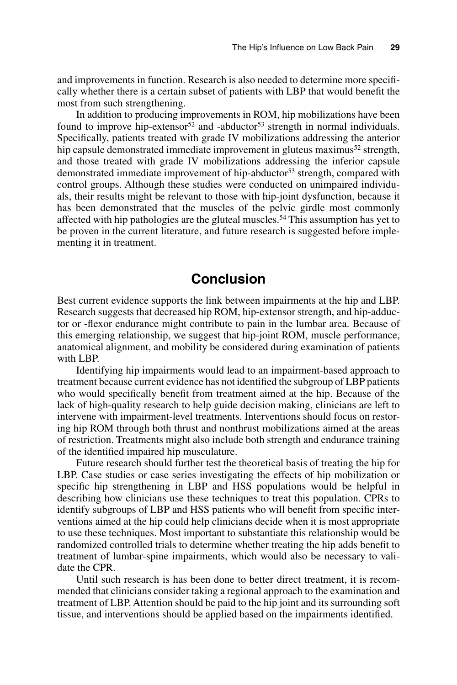and improvements in function. Research is also needed to determine more specifically whether there is a certain subset of patients with LBP that would benefit the most from such strengthening.

In addition to producing improvements in ROM, hip mobilizations have been found to improve hip-extensor<sup>52</sup> and -abductor<sup>53</sup> strength in normal individuals. Specifically, patients treated with grade IV mobilizations addressing the anterior hip capsule demonstrated immediate improvement in gluteus maximus<sup>52</sup> strength, and those treated with grade IV mobilizations addressing the inferior capsule demonstrated immediate improvement of hip-abductor<sup>53</sup> strength, compared with control groups. Although these studies were conducted on unimpaired individuals, their results might be relevant to those with hip-joint dysfunction, because it has been demonstrated that the muscles of the pelvic girdle most commonly affected with hip pathologies are the gluteal muscles.54 This assumption has yet to be proven in the current literature, and future research is suggested before implementing it in treatment.

#### **Conclusion**

Best current evidence supports the link between impairments at the hip and LBP. Research suggests that decreased hip ROM, hip-extensor strength, and hip-adductor or -flexor endurance might contribute to pain in the lumbar area. Because of this emerging relationship, we suggest that hip-joint ROM, muscle performance, anatomical alignment, and mobility be considered during examination of patients with LBP.

Identifying hip impairments would lead to an impairment-based approach to treatment because current evidence has not identified the subgroup of LBP patients who would specifically benefit from treatment aimed at the hip. Because of the lack of high-quality research to help guide decision making, clinicians are left to intervene with impairment-level treatments. Interventions should focus on restoring hip ROM through both thrust and nonthrust mobilizations aimed at the areas of restriction. Treatments might also include both strength and endurance training of the identified impaired hip musculature.

Future research should further test the theoretical basis of treating the hip for LBP. Case studies or case series investigating the effects of hip mobilization or specific hip strengthening in LBP and HSS populations would be helpful in describing how clinicians use these techniques to treat this population. CPRs to identify subgroups of LBP and HSS patients who will benefit from specific interventions aimed at the hip could help clinicians decide when it is most appropriate to use these techniques. Most important to substantiate this relationship would be randomized controlled trials to determine whether treating the hip adds benefit to treatment of lumbar-spine impairments, which would also be necessary to validate the CPR.

Until such research is has been done to better direct treatment, it is recommended that clinicians consider taking a regional approach to the examination and treatment of LBP. Attention should be paid to the hip joint and its surrounding soft tissue, and interventions should be applied based on the impairments identified.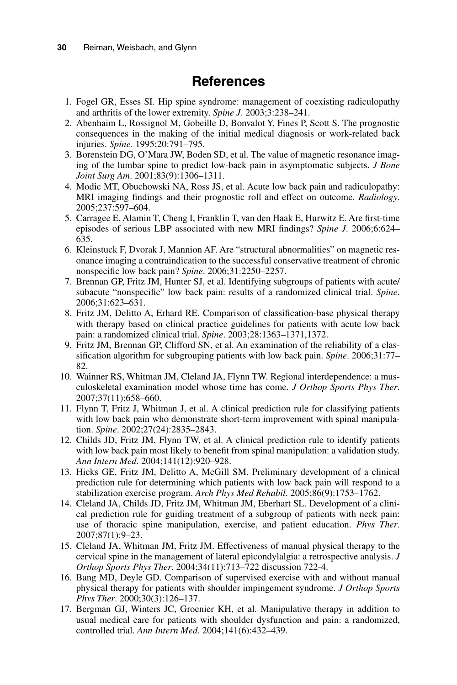## **References**

- 1. Fogel GR, Esses SI. Hip spine syndrome: management of coexisting radiculopathy and arthritis of the lower extremity. *Spine J*. 2003;3:238–241.
- 2. Abenhaim L, Rossignol M, Gobeille D, Bonvalot Y, Fines P, Scott S. The prognostic consequences in the making of the initial medical diagnosis or work-related back injuries. *Spine*. 1995;20:791–795.
- 3. Borenstein DG, O'Mara JW, Boden SD, et al. The value of magnetic resonance imaging of the lumbar spine to predict low-back pain in asymptomatic subjects. *J Bone Joint Surg Am*. 2001;83(9):1306–1311.
- 4. Modic MT, Obuchowski NA, Ross JS, et al. Acute low back pain and radiculopathy: MRI imaging findings and their prognostic roll and effect on outcome. *Radiology*. 2005;237:597–604.
- 5. Carragee E, Alamin T, Cheng I, Franklin T, van den Haak E, Hurwitz E. Are first-time episodes of serious LBP associated with new MRI findings? *Spine J*. 2006;6:624– 635.
- 6. Kleinstuck F, Dvorak J, Mannion AF. Are "structural abnormalities" on magnetic resonance imaging a contraindication to the successful conservative treatment of chronic nonspecific low back pain? *Spine*. 2006;31:2250–2257.
- 7. Brennan GP, Fritz JM, Hunter SJ, et al. Identifying subgroups of patients with acute/ subacute "nonspecific" low back pain: results of a randomized clinical trial. *Spine*. 2006;31:623–631.
- 8. Fritz JM, Delitto A, Erhard RE. Comparison of classification-base physical therapy with therapy based on clinical practice guidelines for patients with acute low back pain: a randomized clinical trial. *Spine*. 2003;28:1363–1371,1372.
- 9. Fritz JM, Brennan GP, Clifford SN, et al. An examination of the reliability of a classification algorithm for subgrouping patients with low back pain. *Spine*. 2006;31:77– 82.
- 10. Wainner RS, Whitman JM, Cleland JA, Flynn TW. Regional interdependence: a musculoskeletal examination model whose time has come. *J Orthop Sports Phys Ther*. 2007;37(11):658–660.
- 11. Flynn T, Fritz J, Whitman J, et al. A clinical prediction rule for classifying patients with low back pain who demonstrate short-term improvement with spinal manipulation. *Spine*. 2002;27(24):2835–2843.
- 12. Childs JD, Fritz JM, Flynn TW, et al. A clinical prediction rule to identify patients with low back pain most likely to benefit from spinal manipulation: a validation study. *Ann Intern Med*. 2004;141(12):920–928.
- 13. Hicks GE, Fritz JM, Delitto A, McGill SM. Preliminary development of a clinical prediction rule for determining which patients with low back pain will respond to a stabilization exercise program. *Arch Phys Med Rehabil*. 2005;86(9):1753–1762.
- 14. Cleland JA, Childs JD, Fritz JM, Whitman JM, Eberhart SL. Development of a clinical prediction rule for guiding treatment of a subgroup of patients with neck pain: use of thoracic spine manipulation, exercise, and patient education. *Phys Ther*. 2007;87(1):9–23.
- 15. Cleland JA, Whitman JM, Fritz JM. Effectiveness of manual physical therapy to the cervical spine in the management of lateral epicondylalgia: a retrospective analysis. *J Orthop Sports Phys Ther*. 2004;34(11):713–722 discussion 722-4.
- 16. Bang MD, Deyle GD. Comparison of supervised exercise with and without manual physical therapy for patients with shoulder impingement syndrome. *J Orthop Sports Phys Ther*. 2000;30(3):126–137.
- 17. Bergman GJ, Winters JC, Groenier KH, et al. Manipulative therapy in addition to usual medical care for patients with shoulder dysfunction and pain: a randomized, controlled trial. *Ann Intern Med*. 2004;141(6):432–439.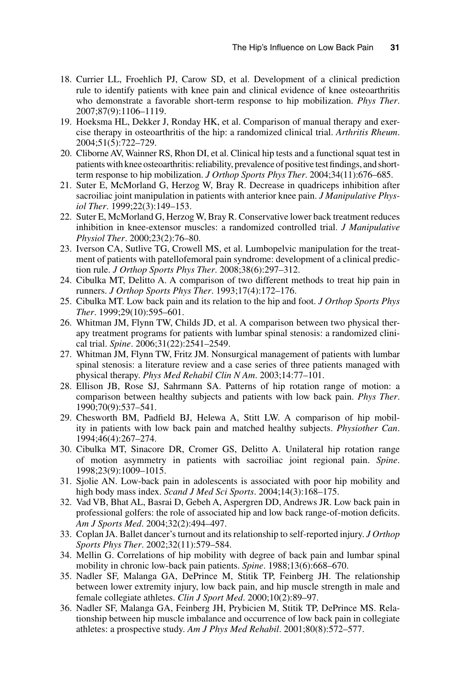- 18. Currier LL, Froehlich PJ, Carow SD, et al. Development of a clinical prediction rule to identify patients with knee pain and clinical evidence of knee osteoarthritis who demonstrate a favorable short-term response to hip mobilization. *Phys Ther*. 2007;87(9):1106–1119.
- 19. Hoeksma HL, Dekker J, Ronday HK, et al. Comparison of manual therapy and exercise therapy in osteoarthritis of the hip: a randomized clinical trial. *Arthritis Rheum*. 2004;51(5):722–729.
- 20. Cliborne AV, Wainner RS, Rhon DI, et al. Clinical hip tests and a functional squat test in patients with knee osteoarthritis: reliability, prevalence of positive test findings, and shortterm response to hip mobilization. *J Orthop Sports Phys Ther*. 2004;34(11):676–685.
- 21. Suter E, McMorland G, Herzog W, Bray R. Decrease in quadriceps inhibition after sacroiliac joint manipulation in patients with anterior knee pain. *J Manipulative Physiol Ther*. 1999;22(3):149–153.
- 22. Suter E, McMorland G, Herzog W, Bray R. Conservative lower back treatment reduces inhibition in knee-extensor muscles: a randomized controlled trial. *J Manipulative Physiol Ther*. 2000;23(2):76–80.
- 23. Iverson CA, Sutlive TG, Crowell MS, et al. Lumbopelvic manipulation for the treatment of patients with patellofemoral pain syndrome: development of a clinical prediction rule. *J Orthop Sports Phys Ther*. 2008;38(6):297–312.
- 24. Cibulka MT, Delitto A. A comparison of two different methods to treat hip pain in runners. *J Orthop Sports Phys Ther*. 1993;17(4):172–176.
- 25. Cibulka MT. Low back pain and its relation to the hip and foot. *J Orthop Sports Phys Ther*. 1999;29(10):595–601.
- 26. Whitman JM, Flynn TW, Childs JD, et al. A comparison between two physical therapy treatment programs for patients with lumbar spinal stenosis: a randomized clinical trial. *Spine*. 2006;31(22):2541–2549.
- 27. Whitman JM, Flynn TW, Fritz JM. Nonsurgical management of patients with lumbar spinal stenosis: a literature review and a case series of three patients managed with physical therapy. *Phys Med Rehabil Clin N Am*. 2003;14:77–101.
- 28. Ellison JB, Rose SJ, Sahrmann SA. Patterns of hip rotation range of motion: a comparison between healthy subjects and patients with low back pain. *Phys Ther*. 1990;70(9):537–541.
- 29. Chesworth BM, Padfield BJ, Helewa A, Stitt LW. A comparison of hip mobility in patients with low back pain and matched healthy subjects. *Physiother Can*. 1994;46(4):267–274.
- 30. Cibulka MT, Sinacore DR, Cromer GS, Delitto A. Unilateral hip rotation range of motion asymmetry in patients with sacroiliac joint regional pain. *Spine*. 1998;23(9):1009–1015.
- 31. Sjolie AN. Low-back pain in adolescents is associated with poor hip mobility and high body mass index. *Scand J Med Sci Sports*. 2004;14(3):168–175.
- 32. Vad VB, Bhat AL, Basrai D, Gebeh A, Aspergren DD, Andrews JR. Low back pain in professional golfers: the role of associated hip and low back range-of-motion deficits. *Am J Sports Med*. 2004;32(2):494–497.
- 33. Coplan JA. Ballet dancer's turnout and its relationship to self-reported injury. *J Orthop Sports Phys Ther*. 2002;32(11):579–584.
- 34. Mellin G. Correlations of hip mobility with degree of back pain and lumbar spinal mobility in chronic low-back pain patients. *Spine*. 1988;13(6):668–670.
- 35. Nadler SF, Malanga GA, DePrince M, Stitik TP, Feinberg JH. The relationship between lower extremity injury, low back pain, and hip muscle strength in male and female collegiate athletes. *Clin J Sport Med*. 2000;10(2):89–97.
- 36. Nadler SF, Malanga GA, Feinberg JH, Prybicien M, Stitik TP, DePrince MS. Relationship between hip muscle imbalance and occurrence of low back pain in collegiate athletes: a prospective study. *Am J Phys Med Rehabil*. 2001;80(8):572–577.